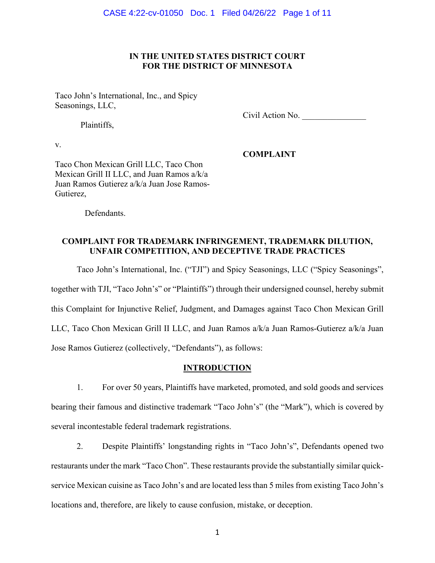### **IN THE UNITED STATES DISTRICT COURT FOR THE DISTRICT OF MINNESOTA**

Taco John's International, Inc., and Spicy Seasonings, LLC,

Civil Action No. \_\_\_\_\_\_\_\_\_\_\_\_\_\_\_

Plaintiffs,

v.

**COMPLAINT** 

Taco Chon Mexican Grill LLC, Taco Chon Mexican Grill II LLC, and Juan Ramos a/k/a Juan Ramos Gutierez a/k/a Juan Jose Ramos-Gutierez,

Defendants.

### **COMPLAINT FOR TRADEMARK INFRINGEMENT, TRADEMARK DILUTION, UNFAIR COMPETITION, AND DECEPTIVE TRADE PRACTICES**

Taco John's International, Inc. ("TJI") and Spicy Seasonings, LLC ("Spicy Seasonings", together with TJI, "Taco John's" or "Plaintiffs") through their undersigned counsel, hereby submit this Complaint for Injunctive Relief, Judgment, and Damages against Taco Chon Mexican Grill LLC, Taco Chon Mexican Grill II LLC, and Juan Ramos a/k/a Juan Ramos-Gutierez a/k/a Juan Jose Ramos Gutierez (collectively, "Defendants"), as follows:

### **INTRODUCTION**

1. For over 50 years, Plaintiffs have marketed, promoted, and sold goods and services bearing their famous and distinctive trademark "Taco John's" (the "Mark"), which is covered by several incontestable federal trademark registrations.

2. Despite Plaintiffs' longstanding rights in "Taco John's", Defendants opened two restaurants under the mark "Taco Chon". These restaurants provide the substantially similar quickservice Mexican cuisine as Taco John's and are located less than 5 miles from existing Taco John's locations and, therefore, are likely to cause confusion, mistake, or deception.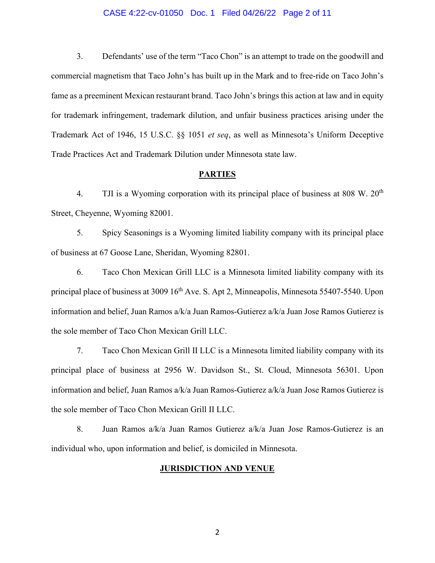### CASE 4:22-cv-01050 Doc. 1 Filed 04/26/22 Page 2 of 11

3. Defendants' use of the term "Taco Chon" is an attempt to trade on the goodwill and commercial magnetism that Taco John's has built up in the Mark and to free-ride on Taco John's fame as a preeminent Mexican restaurant brand. Taco John's brings this action at law and in equity for trademark infringement, trademark dilution, and unfair business practices arising under the Trademark Act of 1946, 15 U.S.C. §§ 1051 *et seq*, as well as Minnesota's Uniform Deceptive Trade Practices Act and Trademark Dilution under Minnesota state law.

### **PARTIES**

4. TJI is a Wyoming corporation with its principal place of business at 808 W.  $20<sup>th</sup>$ Street, Cheyenne, Wyoming 82001.

5. Spicy Seasonings is a Wyoming limited liability company with its principal place of business at 67 Goose Lane, Sheridan, Wyoming 82801.

6. Taco Chon Mexican Grill LLC is a Minnesota limited liability company with its principal place of business at 3009 16<sup>th</sup> Ave. S. Apt 2, Minneapolis, Minnesota 55407-5540. Upon information and belief, Juan Ramos a/k/a Juan Ramos-Gutierez a/k/a Juan Jose Ramos Gutierez is the sole member of Taco Chon Mexican Grill LLC.

7. Taco Chon Mexican Grill II LLC is a Minnesota limited liability company with its principal place of business at 2956 W. Davidson St., St. Cloud, Minnesota 56301. Upon information and belief, Juan Ramos a/k/a Juan Ramos-Gutierez a/k/a Juan Jose Ramos Gutierez is the sole member of Taco Chon Mexican Grill II LLC.

8. Juan Ramos a/k/a Juan Ramos Gutierez a/k/a Juan Jose Ramos-Gutierez is an individual who, upon information and belief, is domiciled in Minnesota.

### **JURISDICTION AND VENUE**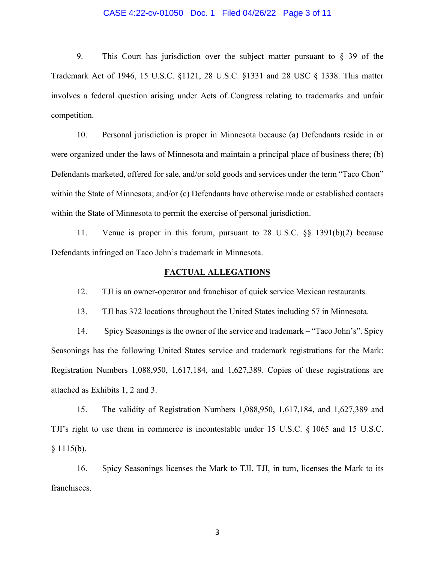### CASE 4:22-cv-01050 Doc. 1 Filed 04/26/22 Page 3 of 11

9. This Court has jurisdiction over the subject matter pursuant to § 39 of the Trademark Act of 1946, 15 U.S.C. §1121, 28 U.S.C. §1331 and 28 USC § 1338. This matter involves a federal question arising under Acts of Congress relating to trademarks and unfair competition.

10. Personal jurisdiction is proper in Minnesota because (a) Defendants reside in or were organized under the laws of Minnesota and maintain a principal place of business there; (b) Defendants marketed, offered for sale, and/or sold goods and services under the term "Taco Chon" within the State of Minnesota; and/or (c) Defendants have otherwise made or established contacts within the State of Minnesota to permit the exercise of personal jurisdiction.

11. Venue is proper in this forum, pursuant to 28 U.S.C. §§ 1391(b)(2) because Defendants infringed on Taco John's trademark in Minnesota.

### **FACTUAL ALLEGATIONS**

12. TJI is an owner-operator and franchisor of quick service Mexican restaurants.

13. TJI has 372 locations throughout the United States including 57 in Minnesota.

14. Spicy Seasonings is the owner of the service and trademark – "Taco John's". Spicy Seasonings has the following United States service and trademark registrations for the Mark: Registration Numbers 1,088,950, 1,617,184, and 1,627,389. Copies of these registrations are attached as Exhibits 1, 2 and 3.

15. The validity of Registration Numbers 1,088,950, 1,617,184, and 1,627,389 and TJI's right to use them in commerce is incontestable under 15 U.S.C. § 1065 and 15 U.S.C.  $§ 1115(b).$ 

16. Spicy Seasonings licenses the Mark to TJI. TJI, in turn, licenses the Mark to its franchisees.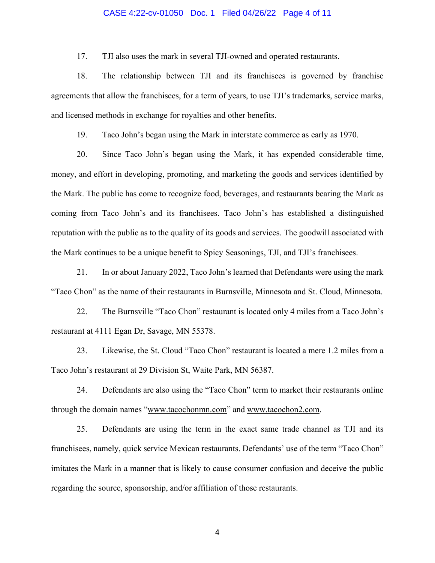### CASE 4:22-cv-01050 Doc. 1 Filed 04/26/22 Page 4 of 11

17. TJI also uses the mark in several TJI-owned and operated restaurants.

18. The relationship between TJI and its franchisees is governed by franchise agreements that allow the franchisees, for a term of years, to use TJI's trademarks, service marks, and licensed methods in exchange for royalties and other benefits.

19. Taco John's began using the Mark in interstate commerce as early as 1970.

20. Since Taco John's began using the Mark, it has expended considerable time, money, and effort in developing, promoting, and marketing the goods and services identified by the Mark. The public has come to recognize food, beverages, and restaurants bearing the Mark as coming from Taco John's and its franchisees. Taco John's has established a distinguished reputation with the public as to the quality of its goods and services. The goodwill associated with the Mark continues to be a unique benefit to Spicy Seasonings, TJI, and TJI's franchisees.

21. In or about January 2022, Taco John's learned that Defendants were using the mark "Taco Chon" as the name of their restaurants in Burnsville, Minnesota and St. Cloud, Minnesota.

22. The Burnsville "Taco Chon" restaurant is located only 4 miles from a Taco John's restaurant at 4111 Egan Dr, Savage, MN 55378.

23. Likewise, the St. Cloud "Taco Chon" restaurant is located a mere 1.2 miles from a Taco John's restaurant at 29 Division St, Waite Park, MN 56387.

24. Defendants are also using the "Taco Chon" term to market their restaurants online through the domain names "www.tacochonmn.com" and www.tacochon2.com.

25. Defendants are using the term in the exact same trade channel as TJI and its franchisees, namely, quick service Mexican restaurants. Defendants' use of the term "Taco Chon" imitates the Mark in a manner that is likely to cause consumer confusion and deceive the public regarding the source, sponsorship, and/or affiliation of those restaurants.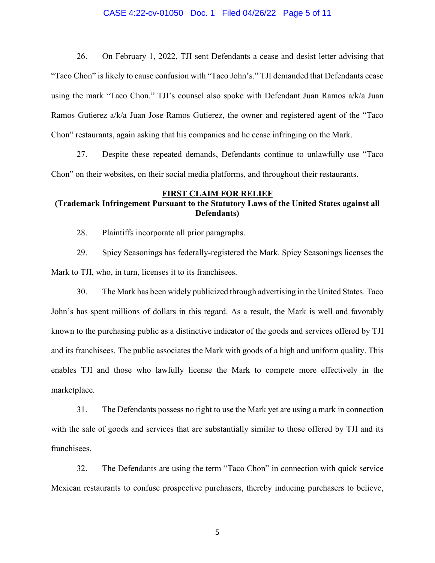### CASE 4:22-cv-01050 Doc. 1 Filed 04/26/22 Page 5 of 11

26. On February 1, 2022, TJI sent Defendants a cease and desist letter advising that "Taco Chon" is likely to cause confusion with "Taco John's." TJI demanded that Defendants cease using the mark "Taco Chon." TJI's counsel also spoke with Defendant Juan Ramos a/k/a Juan Ramos Gutierez a/k/a Juan Jose Ramos Gutierez, the owner and registered agent of the "Taco Chon" restaurants, again asking that his companies and he cease infringing on the Mark.

27. Despite these repeated demands, Defendants continue to unlawfully use "Taco Chon" on their websites, on their social media platforms, and throughout their restaurants.

### **FIRST CLAIM FOR RELIEF**

### **(Trademark Infringement Pursuant to the Statutory Laws of the United States against all Defendants)**

- 28. Plaintiffs incorporate all prior paragraphs.
- 29. Spicy Seasonings has federally-registered the Mark. Spicy Seasonings licenses the Mark to TJI, who, in turn, licenses it to its franchisees.

30. The Mark has been widely publicized through advertising in the United States. Taco John's has spent millions of dollars in this regard. As a result, the Mark is well and favorably known to the purchasing public as a distinctive indicator of the goods and services offered by TJI and its franchisees. The public associates the Mark with goods of a high and uniform quality. This enables TJI and those who lawfully license the Mark to compete more effectively in the marketplace.

31. The Defendants possess no right to use the Mark yet are using a mark in connection with the sale of goods and services that are substantially similar to those offered by TJI and its franchisees.

32. The Defendants are using the term "Taco Chon" in connection with quick service Mexican restaurants to confuse prospective purchasers, thereby inducing purchasers to believe,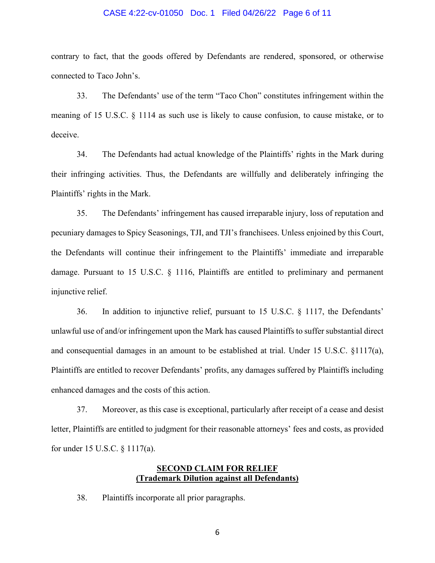### CASE 4:22-cv-01050 Doc. 1 Filed 04/26/22 Page 6 of 11

contrary to fact, that the goods offered by Defendants are rendered, sponsored, or otherwise connected to Taco John's.

33. The Defendants' use of the term "Taco Chon" constitutes infringement within the meaning of 15 U.S.C. § 1114 as such use is likely to cause confusion, to cause mistake, or to deceive.

34. The Defendants had actual knowledge of the Plaintiffs' rights in the Mark during their infringing activities. Thus, the Defendants are willfully and deliberately infringing the Plaintiffs' rights in the Mark.

35. The Defendants' infringement has caused irreparable injury, loss of reputation and pecuniary damages to Spicy Seasonings, TJI, and TJI's franchisees. Unless enjoined by this Court, the Defendants will continue their infringement to the Plaintiffs' immediate and irreparable damage. Pursuant to 15 U.S.C. § 1116, Plaintiffs are entitled to preliminary and permanent injunctive relief.

36. In addition to injunctive relief, pursuant to 15 U.S.C. § 1117, the Defendants' unlawful use of and/or infringement upon the Mark has caused Plaintiffs to suffer substantial direct and consequential damages in an amount to be established at trial. Under 15 U.S.C.  $\S 1117(a)$ , Plaintiffs are entitled to recover Defendants' profits, any damages suffered by Plaintiffs including enhanced damages and the costs of this action.

37. Moreover, as this case is exceptional, particularly after receipt of a cease and desist letter, Plaintiffs are entitled to judgment for their reasonable attorneys' fees and costs, as provided for under 15 U.S.C. § 1117(a).

### **SECOND CLAIM FOR RELIEF (Trademark Dilution against all Defendants)**

38. Plaintiffs incorporate all prior paragraphs.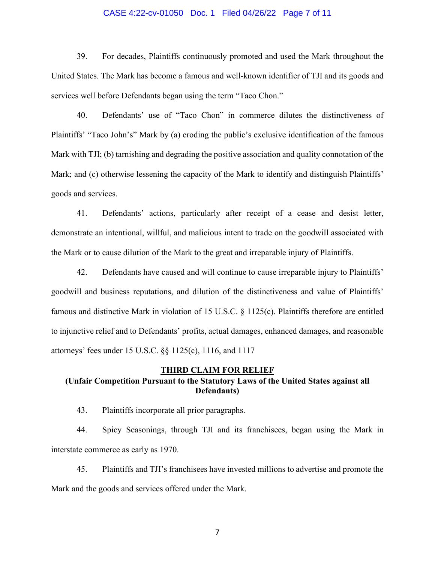### CASE 4:22-cv-01050 Doc. 1 Filed 04/26/22 Page 7 of 11

39. For decades, Plaintiffs continuously promoted and used the Mark throughout the United States. The Mark has become a famous and well-known identifier of TJI and its goods and services well before Defendants began using the term "Taco Chon."

40. Defendants' use of "Taco Chon" in commerce dilutes the distinctiveness of Plaintiffs' "Taco John's" Mark by (a) eroding the public's exclusive identification of the famous Mark with TJI; (b) tarnishing and degrading the positive association and quality connotation of the Mark; and (c) otherwise lessening the capacity of the Mark to identify and distinguish Plaintiffs' goods and services.

41. Defendants' actions, particularly after receipt of a cease and desist letter, demonstrate an intentional, willful, and malicious intent to trade on the goodwill associated with the Mark or to cause dilution of the Mark to the great and irreparable injury of Plaintiffs.

42. Defendants have caused and will continue to cause irreparable injury to Plaintiffs' goodwill and business reputations, and dilution of the distinctiveness and value of Plaintiffs' famous and distinctive Mark in violation of 15 U.S.C. § 1125(c). Plaintiffs therefore are entitled to injunctive relief and to Defendants' profits, actual damages, enhanced damages, and reasonable attorneys' fees under 15 U.S.C. §§ 1125(c), 1116, and 1117

### **THIRD CLAIM FOR RELIEF**

### **(Unfair Competition Pursuant to the Statutory Laws of the United States against all Defendants)**

43. Plaintiffs incorporate all prior paragraphs.

44. Spicy Seasonings, through TJI and its franchisees, began using the Mark in interstate commerce as early as 1970.

45. Plaintiffs and TJI's franchisees have invested millions to advertise and promote the Mark and the goods and services offered under the Mark.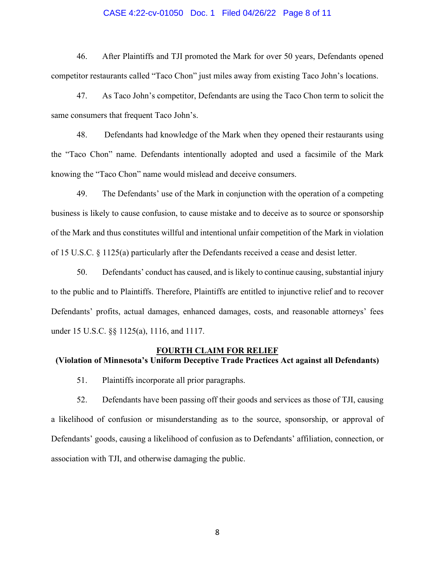### CASE 4:22-cv-01050 Doc. 1 Filed 04/26/22 Page 8 of 11

46. After Plaintiffs and TJI promoted the Mark for over 50 years, Defendants opened competitor restaurants called "Taco Chon" just miles away from existing Taco John's locations.

47. As Taco John's competitor, Defendants are using the Taco Chon term to solicit the same consumers that frequent Taco John's.

48. Defendants had knowledge of the Mark when they opened their restaurants using the "Taco Chon" name. Defendants intentionally adopted and used a facsimile of the Mark knowing the "Taco Chon" name would mislead and deceive consumers.

49. The Defendants' use of the Mark in conjunction with the operation of a competing business is likely to cause confusion, to cause mistake and to deceive as to source or sponsorship of the Mark and thus constitutes willful and intentional unfair competition of the Mark in violation of 15 U.S.C. § 1125(a) particularly after the Defendants received a cease and desist letter.

50. Defendants' conduct has caused, and is likely to continue causing, substantial injury to the public and to Plaintiffs. Therefore, Plaintiffs are entitled to injunctive relief and to recover Defendants' profits, actual damages, enhanced damages, costs, and reasonable attorneys' fees under 15 U.S.C. §§ 1125(a), 1116, and 1117.

### **FOURTH CLAIM FOR RELIEF**

### **(Violation of Minnesota's Uniform Deceptive Trade Practices Act against all Defendants)**

51. Plaintiffs incorporate all prior paragraphs.

52. Defendants have been passing off their goods and services as those of TJI, causing a likelihood of confusion or misunderstanding as to the source, sponsorship, or approval of Defendants' goods, causing a likelihood of confusion as to Defendants' affiliation, connection, or association with TJI, and otherwise damaging the public.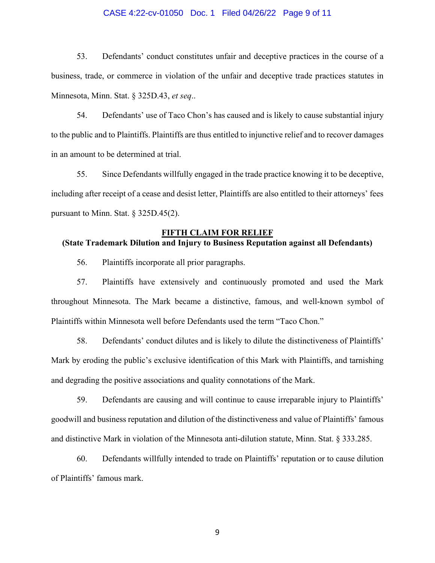### CASE 4:22-cv-01050 Doc. 1 Filed 04/26/22 Page 9 of 11

53. Defendants' conduct constitutes unfair and deceptive practices in the course of a business, trade, or commerce in violation of the unfair and deceptive trade practices statutes in Minnesota, Minn. Stat. § 325D.43, *et seq*..

54. Defendants' use of Taco Chon's has caused and is likely to cause substantial injury to the public and to Plaintiffs. Plaintiffs are thus entitled to injunctive relief and to recover damages in an amount to be determined at trial.

55. Since Defendants willfully engaged in the trade practice knowing it to be deceptive, including after receipt of a cease and desist letter, Plaintiffs are also entitled to their attorneys' fees pursuant to Minn. Stat. § 325D.45(2).

### **FIFTH CLAIM FOR RELIEF**

### **(State Trademark Dilution and Injury to Business Reputation against all Defendants)**

56. Plaintiffs incorporate all prior paragraphs.

57. Plaintiffs have extensively and continuously promoted and used the Mark throughout Minnesota. The Mark became a distinctive, famous, and well-known symbol of Plaintiffs within Minnesota well before Defendants used the term "Taco Chon."

58. Defendants' conduct dilutes and is likely to dilute the distinctiveness of Plaintiffs' Mark by eroding the public's exclusive identification of this Mark with Plaintiffs, and tarnishing and degrading the positive associations and quality connotations of the Mark.

59. Defendants are causing and will continue to cause irreparable injury to Plaintiffs' goodwill and business reputation and dilution of the distinctiveness and value of Plaintiffs' famous and distinctive Mark in violation of the Minnesota anti-dilution statute, Minn. Stat. § 333.285.

60. Defendants willfully intended to trade on Plaintiffs' reputation or to cause dilution of Plaintiffs' famous mark.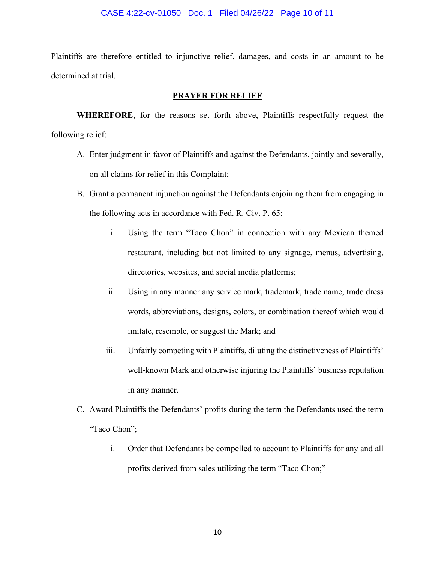### CASE 4:22-cv-01050 Doc. 1 Filed 04/26/22 Page 10 of 11

Plaintiffs are therefore entitled to injunctive relief, damages, and costs in an amount to be determined at trial.

### **PRAYER FOR RELIEF**

**WHEREFORE**, for the reasons set forth above, Plaintiffs respectfully request the following relief:

- A. Enter judgment in favor of Plaintiffs and against the Defendants, jointly and severally, on all claims for relief in this Complaint;
- B. Grant a permanent injunction against the Defendants enjoining them from engaging in the following acts in accordance with Fed. R. Civ. P. 65:
	- i. Using the term "Taco Chon" in connection with any Mexican themed restaurant, including but not limited to any signage, menus, advertising, directories, websites, and social media platforms;
	- ii. Using in any manner any service mark, trademark, trade name, trade dress words, abbreviations, designs, colors, or combination thereof which would imitate, resemble, or suggest the Mark; and
	- iii. Unfairly competing with Plaintiffs, diluting the distinctiveness of Plaintiffs' well-known Mark and otherwise injuring the Plaintiffs' business reputation in any manner.
- C. Award Plaintiffs the Defendants' profits during the term the Defendants used the term "Taco Chon";
	- i. Order that Defendants be compelled to account to Plaintiffs for any and all profits derived from sales utilizing the term "Taco Chon;"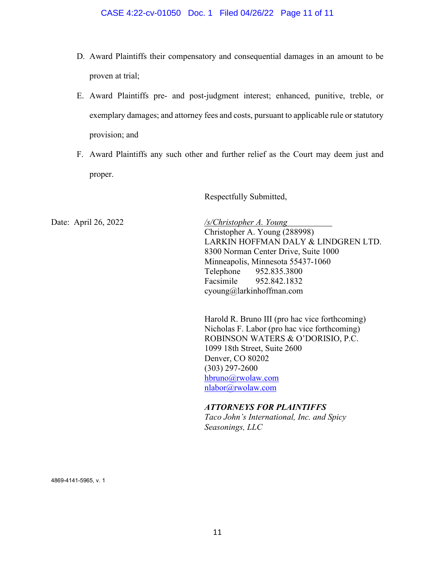- D. Award Plaintiffs their compensatory and consequential damages in an amount to be proven at trial;
- E. Award Plaintiffs pre- and post-judgment interest; enhanced, punitive, treble, or exemplary damages; and attorney fees and costs, pursuant to applicable rule or statutory provision; and
- F. Award Plaintiffs any such other and further relief as the Court may deem just and proper.

Respectfully Submitted,

Date: April 26, 2022 */s/Christopher A. Young* Christopher A. Young (288998) LARKIN HOFFMAN DALY & LINDGREN LTD. 8300 Norman Center Drive, Suite 1000 Minneapolis, Minnesota 55437-1060 Telephone 952.835.3800 Facsimile 952.842.1832 cyoung@larkinhoffman.com

> Harold R. Bruno III (pro hac vice forthcoming) Nicholas F. Labor (pro hac vice forthcoming) ROBINSON WATERS & O'DORISIO, P.C. 1099 18th Street, Suite 2600 Denver, CO 80202 (303) 297-2600 hbruno@rwolaw.com nlabor@rwolaw.com

### *ATTORNEYS FOR PLAINTIFFS*

*Taco John's International, Inc. and Spicy Seasonings, LLC*

4869-4141-5965, v. 1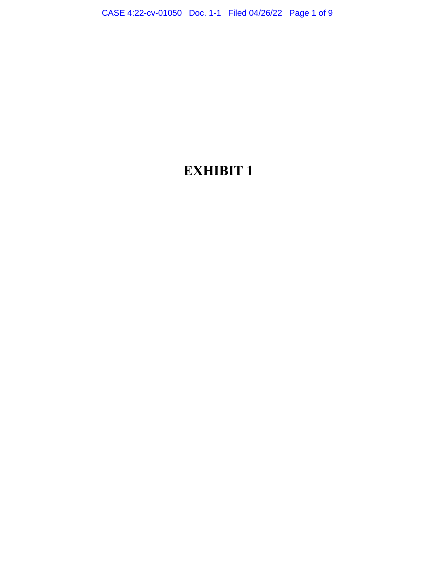CASE 4:22-cv-01050 Doc. 1-1 Filed 04/26/22 Page 1 of 9

### **EXHIBIT 1**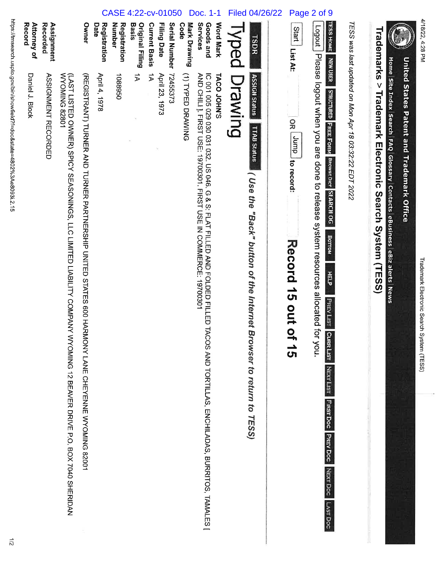4/18/22, 4:28 PM

Trademark Electronic Search System (TESS)

United States Patent and Trademark Office

J, Home Site Index Search FAQ Glossary Contacts eBusiness eBiz alerts News

# Trademarks > Trademark Electronic Search System (TESS)

TESS was last updated on Mon Apr 18 03:32:22 EDT 2022

|                    |                            |                                                                                                                                                                                                                                                 |                                                                                                                                                                                                                                | СA                   | SЕ                            | 4:22-cv-01                             |                      |                    | 050                  |                                    | Doc.                                                                                                                                                                                 | 1-1                |              | <b>Filed 04/26/22</b>                                                                                               | Page                                                   | 2 of 9                                                                                                                                                                                                                                                                           |  |
|--------------------|----------------------------|-------------------------------------------------------------------------------------------------------------------------------------------------------------------------------------------------------------------------------------------------|--------------------------------------------------------------------------------------------------------------------------------------------------------------------------------------------------------------------------------|----------------------|-------------------------------|----------------------------------------|----------------------|--------------------|----------------------|------------------------------------|--------------------------------------------------------------------------------------------------------------------------------------------------------------------------------------|--------------------|--------------|---------------------------------------------------------------------------------------------------------------------|--------------------------------------------------------|----------------------------------------------------------------------------------------------------------------------------------------------------------------------------------------------------------------------------------------------------------------------------------|--|
| <b>Attorney of</b> | Assignment<br>Recorded     |                                                                                                                                                                                                                                                 | Owner                                                                                                                                                                                                                          | Date<br>Registration | <b>Number</b><br>Registration | <b>Original Filing</b><br><b>Basis</b> | <b>Current Basis</b> | <b>Filing Date</b> | <b>Serial Number</b> | <b>Mark Drawing</b><br><b>Code</b> | Services<br><b>Goods and</b>                                                                                                                                                         | <b>Word Mark</b>   | <b>Iyped</b> | <b>TSDR</b>                                                                                                         | Start<br>List At:                                      | <b>TESS HOME</b>                                                                                                                                                                                                                                                                 |  |
|                    | <b>ASSIGNMENT RECORDED</b> | VVOMING 82801<br>(LAST LISTED OWNER) SPICY SEASONINGS, LLC LIMITED LIABILITY COMPANY WYOMING 12 BEAVER DRIVER DRIVER DRIVER DRIVER DRIVER DRIVER DRIVER DRIVER DRIVER DRIVER DRIVER DRIVER DRIVER DRIVER DRIVER DRIVER DRIVER DRIVER DRIVER DRI | (REGISTRANT) TURNER AND TURNER AND 1750 SOO HANONY LANE CHATES 600 HARIC STATES 600 HAND NATERS AND TURNER AND TURNER AND TURNER AND TURNER AND TURNER AND TURNER AND TURNER AND TURNER AND TURNER AND TURNER AND TURNER AND T | April 4, 1978        | 1088950                       | $\overrightarrow{v}$                   | $\overrightarrow{v}$ | April 23, 1973     | 72455373             | (1) TYPED DRAWING                  | IC 001 005 029 030 031 032. US 046. G & S: FLAT FILLED AND FOLDED FILLED TACOS AND TORTILLAS, BURRITOS, TAMALES<br>AND CHILI J. FIRST USE: 19700301. FIRST USE IN COMMERCE: 19700301 | <b>TACO JOHN'S</b> | Dunweld      | <b>ASSIGN Status</b><br><b>TTAB Status</b><br>(Use the "Back" prition of the Linesian<br>Browser to return to TESS) | 요<br>또<br>dunr<br>to record:<br>Record 15 out<br>of 15 | Logout   Please logout when you are done to release system resources allocated for you.<br>NEW USER STRUCTURED FREE FORM<br>BROWSE DICT SEARCH OG<br>BOTTON<br>HELP<br>PREV LIST<br><b>CURR LIST</b><br><b>NEXT LIST</b><br><b>First Doc</b><br>PREV Doc<br>NEXT DOC<br>Lvsr Doc |  |

https://tmsearch.uspto.gov/bin/showfield?f=doc&state=4802%3Ae8093i.2.15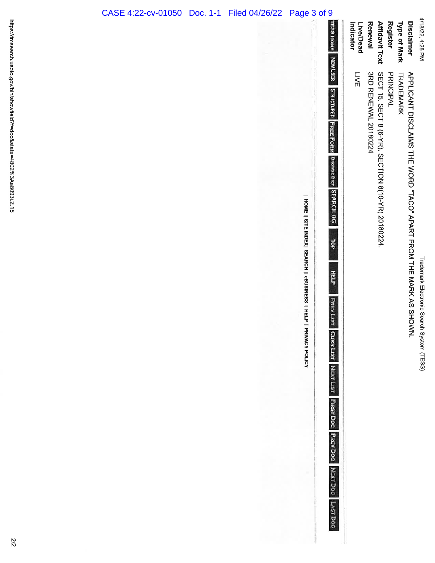| CASE 4:22-cv-01050 | Doc. 1-1 Filed 04/26/22 Page 3 of 9 |                                                                   |                                                                                                                                                                                                                                                                                                                                                                                                                  |
|--------------------|-------------------------------------|-------------------------------------------------------------------|------------------------------------------------------------------------------------------------------------------------------------------------------------------------------------------------------------------------------------------------------------------------------------------------------------------------------------------------------------------------------------------------------------------|
|                    |                                     |                                                                   | 4/18/22, 4:28 PM<br><b>TESS HOME</b><br>Register<br><b>Disclaimer</b><br><b>Affidavit Text</b><br>Indicator<br>Renewal<br>Type of Mark<br>Live/Dead<br>NEW USER                                                                                                                                                                                                                                                  |
|                    |                                     | HOME   SITE INDEX   SEARCH   eBUSINESS   HELP<br>  PRIVACY POLICY | <b>LIVE</b><br>SECT 15. SECT 8 (6-YR). SECTION 8(10-YR) 20180224.<br><b>PRINCIPAL</b><br>TRADEMARK<br>APLICANT DISCLAIMS THE WORD "TACO" APART FROM THE MARK AS SHOWN.<br>3RD RENEWAL 20180224<br><b>STRUCTURED FREE FORM</b><br><b>BROWSE DICT</b><br><b>SEARCH OG</b><br>đ<br>Trademark Electronic Search System (TESS)<br>$\frac{1}{2}$<br>PREV LIST CURR LIST NEXT LIST FIRST DOC PREV DOC NEXT DOC LAST DOC |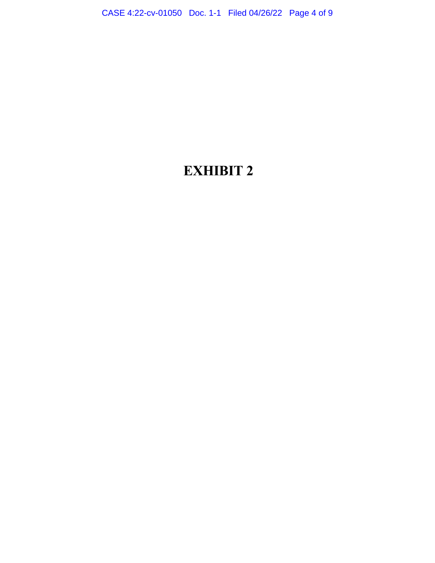CASE 4:22-cv-01050 Doc. 1-1 Filed 04/26/22 Page 4 of 9

### **EXHIBIT 2**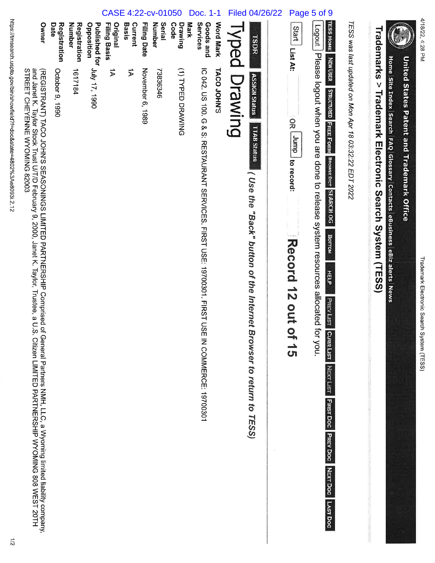

6, Home Site Index Search FAQ Glossary Contacts eBusiness eBiz alerts News

# Trademarks > Trademark Electronic Search System (TESS)

TESS was last updated on Mon Apr 18 03:32:22 EDT 2022

|                 |                                        | <b>CASE</b>                                   | $4:22$ -cv-01                                 |                  | .050                           | $1 - 1$<br>Doc                                                                                                         | Filed 04/26/22                                                                                                        | 5 of 9<br>Page                                                                                                                                                                                                                                                                                                                                                                         |
|-----------------|----------------------------------------|-----------------------------------------------|-----------------------------------------------|------------------|--------------------------------|------------------------------------------------------------------------------------------------------------------------|-----------------------------------------------------------------------------------------------------------------------|----------------------------------------------------------------------------------------------------------------------------------------------------------------------------------------------------------------------------------------------------------------------------------------------------------------------------------------------------------------------------------------|
| Owner<br>Date   | Registration<br>Number<br>Registration | Opposition<br>Original<br><b>Filing Basis</b> | <b>Basis</b><br><b>Filing Date</b><br>Current | Serial<br>Number | Mark<br><b>Code</b><br>Drawing | <b>Word Mark</b><br>Services<br><b>Goods</b> and                                                                       | <b>Iyped</b><br><b>TSDR</b>                                                                                           | <b>TESS HOME</b><br>Logout<br>Start<br>List At:                                                                                                                                                                                                                                                                                                                                        |
| October 9, 1990 | 1617184                                | Published for July 17, 1990<br>$\vec{v}$      | November 6, 1989<br>ミ                         | 73836346         | (1) TYPED DRAWING              | IC 042. US 100. G & S: RESTAURANT SERVICES. FIRST USE: 19700301. FIRST USE IN COMMERCE: 19700301<br><b>TACO JOHN'S</b> | Drawing<br><b>ASSIGN Status</b><br>TTAB Status<br>(Use the "Back" putton of the Line in<br>Browser to return to TESS) | Please logout when you are done to release system resources allocated<br>NEW USER<br><b>STRUCTURED FREE FORM</b><br>OR <sub>I</sub><br>dunr<br>BROWSE DICT SEARCH OG<br>to record:<br>Borrow<br>Record 12 out<br>HELP<br><b>PREVLIST</b><br>$\overline{a}$<br>for you.<br>Cura List<br><br>ה<br><b>NEXTLIST</b><br><b>FIRST DOC PREV DOC</b><br><b>NEXT DOC</b><br>Lust <sup>Doc</sup> |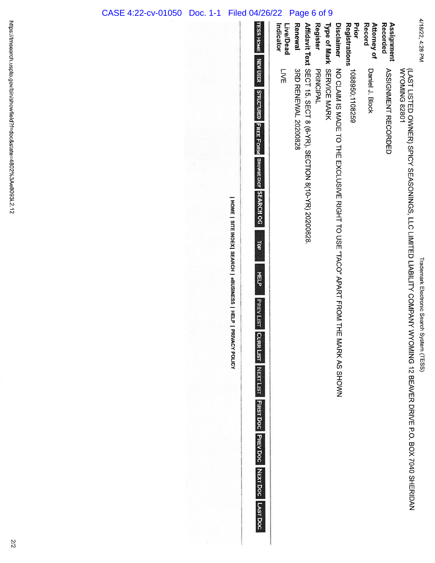### Trademark Electronic Search System (TESS)

4/18/22, 4:28 PM (LAST LISTED OWNER) SPICY SEASONINGS, LLC LIMITED LIABILITY COMPANY WYOMING 12 BEAVER DRIVE P.O. BOX 7040 SHERIDAN<br>WYOMING 82801

| <b>TESS HOME</b>                                                                                                                                                                                                                                                        | Indicator<br>Live/Dead | <b>Renewal</b>       |                                                                  | Register         |                                  |                                                                                      | <b>Registrations</b><br>Prior | Record<br><b>Attorney of</b> | Assignment<br>Recorded     |
|-------------------------------------------------------------------------------------------------------------------------------------------------------------------------------------------------------------------------------------------------------------------------|------------------------|----------------------|------------------------------------------------------------------|------------------|----------------------------------|--------------------------------------------------------------------------------------|-------------------------------|------------------------------|----------------------------|
| <b>NEW USER</b><br><b>STRUCTURED FREE FORM</b><br><b>BROWSE DICT</b><br><b>SEARCH OG</b><br>HOME   SITE INDEX   SEARCH   eBUSINESS   HELP   PRIVACY POLICY<br>401<br>HELP<br>PREV LIST C<br>URR LIST<br><b>NEXT LIST</b><br><b>Firest Doc</b><br><b>PREV DOC</b><br>NEX | LIVE                   | 3RD RENEWAL 20200828 | Affidavit Text SECT 15. SECT 8 (6-YR). SECTION 8(10-YR) 20200828 | <b>PRINCIPAL</b> | <b>Type of Mark SERVICE MARK</b> | Disculture MOCLAIM IS MART FROME RIGHT TO USE "TACO" APART FROM THE<br>MARK AS SHOWN | 1088950;1108259               | Daniel J. Block              | <b>ASSIGNMENT RECORDED</b> |

Doc LAST Doc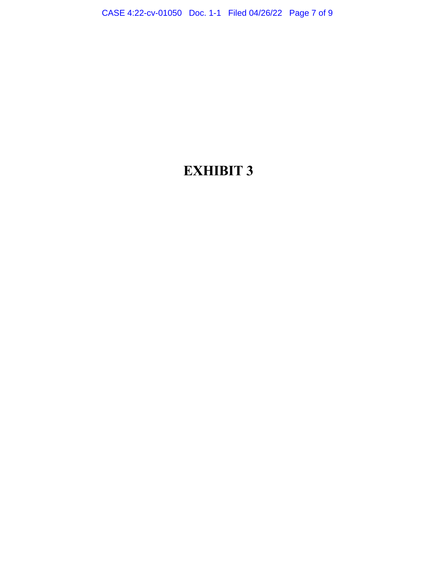CASE 4:22-cv-01050 Doc. 1-1 Filed 04/26/22 Page 7 of 9

### **EXHIBIT 3**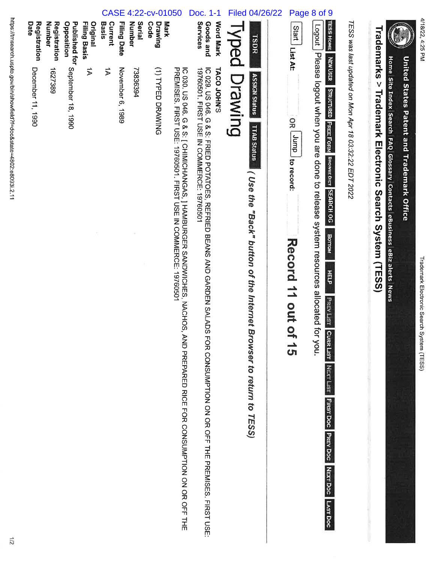United States Patent and Trademark Office

 $\begin{pmatrix} 1 \\ 1 \end{pmatrix}$ Home Site Index Search FAQ Glossary Contacts eBusiness eBiz alerts News

# Trademarks > Trademark Electronic Search System (TESS)

TESS was last updated on Mon Apr 18 03:32:22 EDT 2022

|                      |                        |                                  |                                 | <b>CASE</b>             |                    |                  | 4:22-cv-01050                  |                                                                                                                                                                                         | $1 - 1$<br><b>Doc</b>                                                                                                                                                                                                                    |              | <b>Filed 04/26/22</b>                                                                                              | Page                                                          | $\boldsymbol{8}$<br>of 9                                                                                                                                                                                                                                                          |
|----------------------|------------------------|----------------------------------|---------------------------------|-------------------------|--------------------|------------------|--------------------------------|-----------------------------------------------------------------------------------------------------------------------------------------------------------------------------------------|------------------------------------------------------------------------------------------------------------------------------------------------------------------------------------------------------------------------------------------|--------------|--------------------------------------------------------------------------------------------------------------------|---------------------------------------------------------------|-----------------------------------------------------------------------------------------------------------------------------------------------------------------------------------------------------------------------------------------------------------------------------------|
| Date<br>Registration | Number<br>Registration | Opposition                       | <b>Filing Basis</b><br>Original | <b>Basis</b><br>Current | <b>Filing Date</b> | Serial<br>Number | Mark<br><b>Drawing</b><br>Code |                                                                                                                                                                                         | <b>Word Mark</b><br>Services<br><b>Goods and</b>                                                                                                                                                                                         | <b>Iyped</b> | TSDR                                                                                                               | Start List At:                                                | <b>TESS HOME</b><br>Logout                                                                                                                                                                                                                                                        |
| December 11, 1990    | 1627389                | Published for September 18, 1990 | $\vec{v}$                       | Þ                       | November 6, 1989   | 73836394         | (1) TYPED DRAWING              | <b>PREMISES. FIRST USE: 19760501. FIRST USE IN COMMERCE: 19760501</b><br>IC 030. US 046. G & S: [ CHIMICHANGAS, ] HAMBURGER SANDVOCHES, NACHOS, AND PREPARED RICE FOR CONSUMPTION ON OR | <b>TACO JOHN'S</b><br>19760501. FIRST DSE IN COMMERCE: 19760501<br>IC 029. US 046. G & S: FRIED POTATOES, FLAT DE APPROVISCOM ON ON ON ON ON ON DUNPTION SALADS FOR SHARE DREAMS WEER FRIED BE SO 30. OS 049. G & S: FRIED POTATOES, REF | Drawing      | <b>ASSIGN Status</b><br><b>TTAB Status</b><br>(Use the "Back" button of the Internet<br>Browser to return to TESS) | $\frac{1}{2}$<br>dunr<br>to record:<br>Record 11 out<br>of 15 | Please logout when you are done to release system resources allocated<br>NEW USER<br><b>STRUCTURED FREE FORM</b><br>BROWSE DICT SEARCH OG<br><b>BorroM</b><br>HELP<br><b>PREV LIST</b><br>for you.<br><b>CURR LIST</b><br><b>NEXTLIST</b><br>FIRST Doc PREV Doc NEXT Doc LAST Doc |